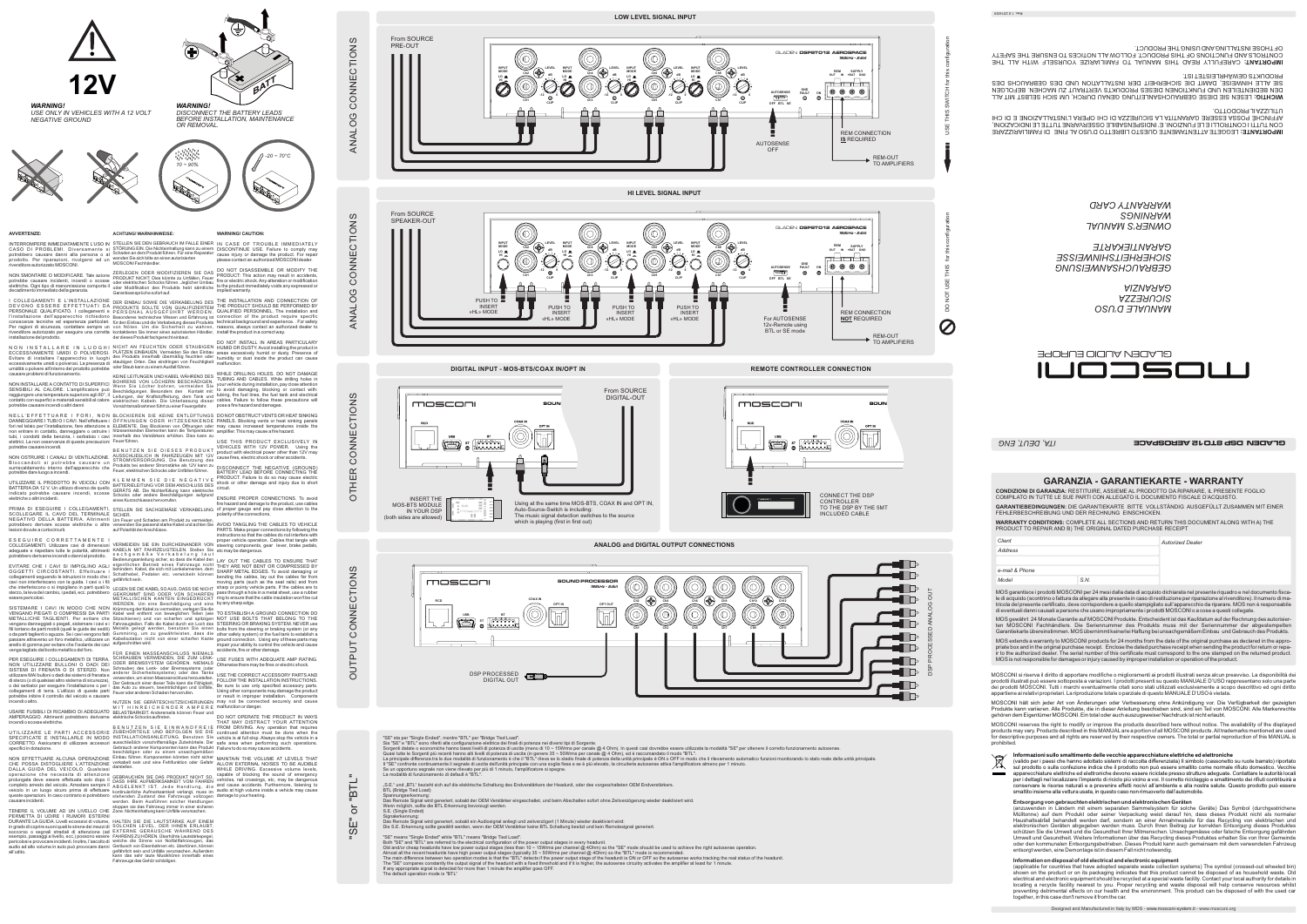## **AVVERTENZE:**

INTERROMPERE IMMEDIATAMENTE L'USO IN STELLEN SIE DEN GEBRAUCH IM FALLE EINER IN CASE OF TROUBLE IMMEDIATELY CASO DI PROBLEMI. Diversamente si potrebbero causare danni alla persona o al prodotto. Per riparazioni, rivolgersi ad un rivenditore autorizzato MOSCONI.

NON SMONTARE O MODIFICARE. Tale azione potrebbe causare incidenti, incendi o scosse elettriche. Ogni tipo di manomissione comporta il decadimento immediato della garanzia.

I COLLEGAMENTI E L'INSTALLAZIONE<br>DEVONO ESSERE EFFETTUATI DA<br>PERSONALE QUALIFICATO. I collegamenti e<br>l'installazione dell'apparecchio richiedono<br>conoscenze tecniche ed esperienza particolari.<br>Per ragioni di sicurezza, cont

N O N I N S TALLARE IN LUOGHI<br>ECCESSIVAMENTE UMIDI O POLVEROSI.<br>Evitare di installare l'apparecchio in luoghi<br>eccessivamente umidio polverosi. La presenza di<br>umidità o polvere all'interno del prodotto potrebbe causare problemi di funzionamento.

NON INSTALLARE A CONTATTO DI SUPERFICI<br>SENSIBILI AL CALORE. L'amplificatore può<br>raggiungere una temperatura superiore agli 80°, il<br>contatto con superfici e materiali sensibili al calore<br>potrebbe causare incendi o altri dan

EVITARE CHE I CAVI SI IMPIGLINO AGLI<br>OGGETTI CIRCOSTANTI. Effettuare i<br>collegamenti seguendo le istruzioni in modo che i<br>cavi non interferiscano con la guida. I cavi o i fili che interferiscono o si impigliano in parti quali lo sterzo, la leva del cambio, i pedali, ecc. potrebbero essere pericolosi.

non entrare in contatto, danneggiare o ostruire i tubi, i condotti della benzina, i serbatoio i cavi elettrici. La non osservanza di queste precauzioni potrebbe causare incendi.

NON OSTRUIRE I CANALI DI VENTILAZIONE.<br>Bloccandoli si potrebbe causare un<br>surriscaldamento interno dell'apparecchio che<br>potrebbe dare luogo a incendi.

SISTEMARE I CAVI IN MODO CHE NON<br>VENGANO PIEGATI O COMPRESSI DA PARTI<br>METALLICHE TAGLIENTI. Per evitare che<br>vengano danneggiati o piegati, sistemare i cavi e i fili lontano da parti mobili (quali le guide dei sedili) o da parti taglienti o aguzze. Se i cavi vengono fatti passare attraverso un foro metallico, utilizzare un anello di gomma per evitare che l'isolante dei cavi venga tagliato dal bordo metallico del foro.

UTILIZZARE IL PRODOTTO IN VEICOLI CON BATTERIA DA 12 V. Un utilizzo diverso da quello indicato potrebbe causare incendi, scosse elettriche o altri incidenti.

NON EFFETTUARE ALCUNA OPERAZIONE CHE POSSA DISTOGLIERE L'ATTENZIONE DALLA GUIDA DEL VEICOLO. Qualsiasi operazione che necessita di attenzione<br>prolungata deve essere effettuata solo dopo il<br>completo arresto del veicolo. Arrestare sempre il<br>veicolo in un luogo sicuro prima di effettuare<br>queste operazioni. In caso contrario si

SCOLLEGARE IL CAVO DEL TERMINALE NEGATIVO DELLA BATTERIA. Altrimenti potrebbero derivare scosse elettriche o altre lesioni dovute a cortocircuiti.

TENERE IL VOLUME AD UN LIVELLO CHE PERMETTA DI UDIRE I RUMORI ESTERNI<br>DURANTELAGUIDA.Livelli eccessivi di volume, HALTEN SIE DIE LAUTSTÄRKE AUF EINEM in grado di coprire suoni quali le sirene dei mezzi di<br>soccorso o segnali stradali di attenzione (ad<br>esempio, passaggi a livello, ecc.) possono essere<br>pericolosi e provocare incidenti. Inoltre, l'ascolto di<br>aul'udito.<br>all' out their state ware the state ware the state of the state of the state of the state of the state of the state<br>TENERE IL VOLUME AD UN LIVELLO CHE Zone. Nichteinhaltung kann Unfälle verursachen.

E S E G U I R E C O R R E T T A M E N T E I COLLEGAMENTI. Utilizzare cavi di dimensioni adeguate e rispettare tutte le polarità, altrimenti potrebbero derivarne incendi o danni al prodotto.

PER ESEGUIRE I COLLEGAMENTI DI TERRA, NON UTILIZZARE BULLONI O DADI DEI SISTEMI DI FRENATA O DI STERZO. Non utilizzare MAI bulloni o dadi dei sistemi di frenata e di sterzo (o di qualsiasi altro sistema di sicurezza), o dei serbatoi per eseguire l'installazione o per i collegamenti di terra. L'utilizzo di queste parti potrebbe inibire il controllo del veicolo e causare incendi o altro.

VERMEIDEN SIE EIN DURCHEINANDER VON KABELN MIT FAHRZEUGTEILEN. Stellen Sie s a c h g e m ä ß e V e r k a b e l u n g l a u t Bedienungsanleitung sicher, so dass die Kabel den<br>eigentlichen Betrieb eines Fahrzeugs nicht<br>behindern. Kabel, die sich mit Lenkelementen, dem<br>Schalthebel, Pedalen etc. verwickeln können<br>gefährlichsein.

USARE FUSIBILI DI RICAMBIO DI ADEGUATO AMPERAGGIO. Altrimenti potrebbero derivarne elektrische Schocks auftreten. incendi o scosse elettriche.

UTILIZZARE LE PARTI ACCESSORIE<br>SPECIFICATE E INSTALLARLE IN MODO<br>CORRETTO. Assicurarsi di utilizzare accessori<br>specificiindotazione.

LEGEN SIE DIE KABEL SOAUS, DASS SIE NICHT<br>GEKRÜMMT SIND ODER VON SCHARFEN<br>METALLISCHEN KANTEN EINGEDRÜCKT<br>WERDEN. Um eine Beschädigung und eine<br>Krümmungder Kabel zu vermeiden, verlegen Sie die<br>Kabel weit entfernt von schar Metalls gelegt werden, benutzen Sie einen Gummiring, um zu gewährleisten, dass die Kabelisolation nicht von einer scharfen Kante aufgeschnitten wird.

FÜR EINEN MASSEANSCHLUSS NIEMALS accidents, fire or other damage. SCHRAUBEN VERWENDEN, DIE ZUM LENK-<br>ODER BREMSSYSTEM GEHÖREN. NIEMALS<br>Schrauben des Lenk- oder Bremssystems (oder<br>anderer Sicherheitssysteme) oder des Tanks<br>verwenden,umeinenMasseanschluss herzustellen. Der Gebrauch einer dieser Teile kann die Fähigkeit,<br>das Auto zu steuern, beeinträchtigen und Unfälle,<br>Feuer oder anderen Schaden hervorrufen.

B E N U T Z E N S I E E I N W A N D F R E I E<br>ZUBEHÖRTEILE UND BEFOLGEN SIE DIE<br>INSTALLATIONSANLEITUNG. Benutzen Sie<br>ausschließlich vorschriftsmäßige Zubehörteile. Der Gebrauch anderer Komponenten kann das Produkt Failure to do so may cause accidents. beschädigen oder zu einem unsachgemäßen Einbau führen. Komponenten könnten nicht sicher verkabelt sein und eine Fehlfunktion oder Gefahr darstellen.

GEBRAUCHEN SIE DAS PRODUKT NICHT SO,<br>DASS IHRE AUFMERKSAMKEIT VOM FAHREN<br>ABGELENKT IST. Jede Handlung, die<br>kontinuierliche Aufmerksamkeit verlangt, muss im<br>stehenden Zustand des Fahrzeugs vollzogen<br>werden. Beim Ausführen s

SOLCHEN LEVEL, DER IHNEN ERLAUBT,<br>EXTERNE GERÄUSCHE WÄHREND DES<br>FAHRENS ZU HÖREN. Überhöhte Lautstärkepegel,<br>welche die Sirene von Notfallfahrzeugen, das<br>Geräusch von Eisenbahnen etc. übertönen, können<br>gefährlich sein und

**ACHTUNG! WARNHINWEISE:**

STÖRUNG EIN. Die Nichteinhaltung kann zu einem Schaden an dem Produkt führen. Für eine Reparatur wenden Sie sich bitte an einen autorisierten MOSCONI Fachhändler.

ZERLEGEN ODER MODIFIZIEREN SIE DAS<br>PRODUKT NICHT: Dies könnte zu Unfällen, Feuer<br>oder elektrischen Schocks führen. Jeglicher Umbau<br>oder Modifikation des Produkts hebt sämtliche<br>Garantieansprüche sofort auf.

DER EINBAU SOWIE DIE VERKABELUNG DES<br>PRODUKTS SOLLTE VON QUALIFIZIERTEM<br>PERSONAL AUSGEFÜHRT WERDEN.<br>Besonderes technisches Wissen und Erfahrung ist<br>für den Einbau und die Verkabelung dieses Produkts<br>von Nöten. Um die Siche

NICHT AN FEUCHTEN ODER STAUBIGEN<br>PLÄTZEN EINBAUEN. Vermeiden Sie den Einbau<br>des Produkts innerhalb übermäßig feuchten oder<br>staub kann zu einem Ausfall führen.<br>oder Staub kann zu einem Ausfall führen.

KEINE LEITUNGEN UND KABEL WAHREND DES<br>BOHRENS VON LÖCHERN BESCHÄDIGEN.<br>Wenn Sie Löcher bohren, vermeiden Sie<br>Beschädigungen. Besonders den Kontakt mit:<br>Leitungen, der Kraftstoffleitung, dem Tank und<br>elektr

fori nel telaio per l'installazione, fare attenzione a ELEMENTE. Das Blockieren von Öffnungen oder may cause increased temperatures inside the amplifier. This may cause a fire hazard.

fire hazard and damage to the product, use cables<br>PRIMA DI ESEGUIRE I COLLEGAMENTI, STELLEN SIE SACHGEMÄßE VERKABELUNG of proper gauge and pay close attention to the ENSURE PROPER CONNECTIONS. To avoid of proper gauge and pay close attention to the polarity of the connections.

> LAY OUT THE CABLES TO ENSURE THAT<br>THEY ARE NOT BENT OR COMPRESSED BY<br>SHARP METAL EDGES. To avoid damaging or<br>bending the cables, lay out the cables far from<br>moving parts (such as the seat rails) and from sharp or pointy vehicle parts. If the cables are to pass through a hole in a metal sheet, use a rubber ring to ensure that the cable insulation won't be cut by any sharp edge.

> TO ESTABLISH A GROUND CONNECTION DO NOT USE BOLTS THAT BELONG TO THE STEERING OR BRAKING SYSTEM. NEVER use bolts from the steering or braking system (or any<br>other safety system) or the fuel tank to establish a<br>ground connection. Using any of these parts may<br>impair your ability to control the vehicle and cause

hitzesenkenden Elementen kann die Temperaturen innerhalb des Verstärkers erhöhen. Dies kann zu Feuer führen.

B E N U T Z E N SIE DIE SES PRODUKT<br>AUSSCHLIEßLICH IN FAHRZEUGEN MIT 12V<br>STROMVERSORGUNG. Die Benutzung des<br>Produkts bei anderer Stromstärke als 12V kann zu<br>Feuer, elektrischen Schocks oder Unfällen führen.

K L E M M E N S I E D I E N E G A T I V E<br>BATTERIELEITUNG VOR DEM ANSCHLUSS DES<br>GERÄTS AB. Die Nichterfüllung kann elektrische<br>Schocks oder andere Beschädigungen aufgrund<br>eines Kurzschlusses hervorrufen.

may not be connected securely and cause malfunction or danger. .<br>DO NOT OPERATE THE PRODUCT IN WAYS<br>THAT MAY DISTRACT YOUR ATTENTION

SICHER. Um Feuer und Schaden am Produkt zu vermeiden, verwenden Sie passend starke Kabel und achten Sie auf Polarität der Anschlüsse.

## $\prec$ Z A LOG

 $\mathsf{\mathsf{C}}$ OZ Z  $\sqcup$  $\mathord{\mathsf{C}}$ 

O $\vdash$ 工  $\sqcup$  $\propto$  $\mathsf{\mathsf{C}}$ OZ Z  $\sqcup$  $\mathord{\mathsf{C}}$  $\frac{\mathsf{O}}{\mathsf{F}}$ Z ഗ

Oコ  $\vdash$  $\mathtt{\Omega}$ コ  $\vdash$  $\bm{\mathsf{C}}$ O $\mathsf{Z}$ Z  $\sqcup$  $\mathsf{\mathsf{C}}$ O<br>Fi Z ഗ

## OUT **Ch8 Ch10 Ch12** GDSP PROCESSED ANALO **Ch7 Ch9 Ch11**  $\sim$ III R  $\blacksquare$

NUTZEN SIE GERÄTESCHUTZSICHERUNGEN M I T H I N R E I C H E N D E R A M P E R E BELASTBARKEIT. Andererseits können Feuer und

Spannungserkennung:<br>Das Remote Signal wird generiert, sobald der OEM Verstärker eingeschaltet, und beim Abschalten sofort ohne Zeitverzögerung wieder deaktiviert wird. Wenn möglich, sollte die BTL Erkennung bevorzugt werden. S.E. (Single Ended)

"SE" means "Single Ended" while "BTL" means "Bridge Tied Load".<br>Both "SE" and "BTL" are referred to the electrical configuration of the power output stages in every headunit.<br>Old and/or cheap headunits have low power outp Almost all the recent headunits have high power output stages (typically 35 ~ 50Wrms per channel @ 4Ohm) so the "BTL" mode is recommended.<br>The main difference between two operation modes is that the "BTL" detects if the po The default operation mode is "BTL"

**WARNING! CAUTION:**

DISCONTINUE USE. Failure to comply may cause injury or damage the product. For repair please contact an authorized MOSCONI dealer.

DO NOT DISASSEMBLE OR MODIFY THE PRODUCT: This action may result in accidents, fire or electric shock. Any alteration or modification to the product immediately voids any expressed or implied warranty.

THE INSTALLATION AND CONNECTION OF<br>THE PRODUCT SHOULD BE PERFORMED BY<br>QUALIFIED PERSONNEL. The installation and<br>connection of the product require specific<br>technical background and experience. For safety<br>reasons, always con

DO NOT INSTALL IN AREAS PARTICULARY HUMID OR DUSTY. Avoid installing the product in areas excessively humid or dusty. Presence of humidity or dust inside the product can cause malfunction.

USE THIS PRODUCT EXCLUSIVELY IN

VEHICLES WITH 12V POWER. Using the product with electrical power other than 12V may cause fires, electric shock or other accidents. DISCONNECT THE NEGATIVE (GROUND) BATTERY LEAD BEFORE CONNECTING THE PRODUCT. Failure to do so may cause electric shock or other damage and injury due to short circuit.

AVOID TANGLING THE CABLES TO VEHICLE PARTS. Make proper connections by following the instructions so that the cables do not interfere with proper vehicle operation. Cables that tangle with steering components, gear lever, brake pedals, etc may be dangerous.

USE FUSES WITH ADEQUATE AMP RATING. Otherwise there may be fires or electric shock.

USE THE CORRECTACCESSORY PARTS AND FOLLOW THE INSTALLATION INSTRUCTIONS. Be sure to use only specified accessory parts. Using other components may damage the product or result in improper installation. Components

THAT MAY DISTRACT YOUR ATTENTION<br>FROM DRIVING. Any operation that requires<br>continued attention must be done when the<br>vehicle is at full stop. Always stop the vehicle in a<br>safe area when performing such operations.

MAINTAIN THE VOLUME AT LEVELS THAT ALLOW EXTERNAL NOISES TO BE AUDIBLE WHILE DRIVING. Excessive volume levels,

capable of blocking the sound of emergency vehicles, rail crossings, etc, may be dangerous and cause accidents. Furthermore, listening to audio at high volume inside a vehicle may cause damage to your hearing.



*WARNING!*

*DISCONNECT THE BATTERY LEADS BEFORE INSTALLATION, MAINTENANCE* 



*WARNING! USE ONLY IN VEHICLES WITH A 12 VOLT NEGATIVE GROUND*









USE THIS SWITCH for this configuration GLADEN **DSP8TO12 AEROSPACE** *192kHz - 24bit* **LEVEL REM SUPPLY Ch8 dB +BAT GND OUT IN GND**  $\circledcirc$   $\circledcirc$   $\circledcirc$ **AUTOSENSE FAULT ON -12 0 Ch7 CLIP OFF BTL SE**





CONNECT THE DSP CONTROLLER TO THE DSP BY THE 5MT INCLUDED CABLE

mosconi SOUN



**REMOTE CONTROLLER CONNECTION**



**MODE INPUT**

**ANALOG and DIGITAL OUTPUT CONNECTIONS**



"SE" sta per "Single Ended", mentre "BTL" per "Bridge Tied Load".<br>Sia "SE" e "BTL" sono nferiti alla configurazione lettrica dei finali di potenza nei diversi tipi di Sorgente.<br>Sorgenti datate o economiche banno atti live Il "SE" confronta continuamente il segnale di uscita dell'unità principale con una soglia fissa e se è più elevato, la circuiteria autosense attiva l'amplificatore almeno per 1 minuto.<br>Se un opportuno segnale non viene ril

"S.E." und "BTL" bezieht sich auf die elektrische Schaltung des Endverstärkers der Headunit, oder des vorgeschalteten OEM Endverstärkers.

BTL (Bridge Tied Load)

Signalerkennung:

Das Remote Signal wird generiert, sobald ein Audiosignal anliegt und zeitverzögert (1 Minute) wieder deaktiviert wird:<br>Die S.E. Erkennung sollte gewählt werden, wenn der OEM Verstärker keine BTL Schaltung besitzt und kein

"SE" or "BTL"

 $\overline{5}$ 

**Li**<br>SE'

"BTL"

Z ഗ

WHILE DRILLING HOLES, DO NOT DAMAGE<br>TUBING AND CABLES. While drilling holes in<br>your vehicle during installation, pay close attention<br>to avoid damaging, blocking or contact with:<br>tubing, the fuel lines, the fuel tank and el

N ELL'EFFETTUARE I FORI, NON BLOCKIEREN SIE KEINE ENTLÜFTUNGS DONOTOBSTRUCTVENTSORHEATSINKING<br>DANNEGGIAREITUBIOICAVI.Nell'effettuare i ÖFFNUNGEN ODER HITZESENKENDE PANELS.Blocking vents or heat sinking panels

Designed and Manufactured in Italy by MOS - www.mosconi-system.it - www.mosconi.org

**GARANZIA - GARANTIEKARTE - WARRANTY**

**CONDIZIONI DI GARANZIA:** RESTITUIRE, ASSIEME AL PRODOTTO DA RIPARARE, IL PRESENTE FOGLIO COMPILATO IN TUTTE LE SUE PARTI CON ALLEGATO IL DOCUMENTO FISCALE D'ACQUISTO. **GARANTIEBEDINGUNGEN:** DIE GARANTIEKARTE BITTE VOLLSTÄNDIG AUSGEFÜLLT ZUSAMMEN MIT EINER FEHLERBESCHREIBUNG UND DER RECHNUNG EINSCHICKEN. **WARRANTY CONDITIONS:** COMPLETE ALL SECTIONS AND RETURN THIS DOCUMENT ALONG WITH A) THE

**Autorized Dealer** 

PRODUCT TO REPAIR AND B) THE ORIGINAL DATED PURCHASE RECEIPT

MOS garantisce i prodotti MOSCONI per 24 mesi dalla data di acquisto dichiarata nel presente riquadro e nel documento fisca-

*ITA, DEUT, ENG* 

le di acquisto (scontrino o fattura da allegare alla presente in caso di restituzione per riparazione al rivenditore). Il numero di matricola del presente certificato, deve corrispondere a quello stampigliato sull'apparecchio da riparare. MOS non è responsabile di eventuali danni causati a persone che usano impropriamente i prodotti MOSCONl o a cose a questi collegate. MOS gewährt 24 Monate Garantie auf MOSCONI Produkte. Entscheident ist das Kaufdatum auf der Rechnung des autorisierten MOSCONI Fachhändlers. Die Seriennummer des Produkts muss mit der Seriennummer der abgestempel Garantiekarte übereinstimmen. MOS übernimmt keinerlei Haftung bei unsachgemäßem Einbau und Gebrauch des Produkts. MOS extends a warranty to MOSCONI products for 24 months from the date of the original purchase as declared in the appropriate box and in the original purchase receipt. Enclose the dated purchase receipt when sending the product for return or repa-<br>ir to the authorized dealer. The serial number of this certificate must correspond to the on MOS is not responsible for damages or injury caused by improper installation or operation of the product. MOSCONI si riserva il diritto di apportare modifiche o miglioramenti ai prodotti illustrati senza alcun preavviso. La disponibilità dei prodotti illustrati può essere sottoposta a variazioni. I prodotti presenti su questo MANUALE D'USO rappresentano solo una parte<br>dei prodotti MOSCONI. Tutti i marchi eventualmente citati sono stati utilizzati esclusivament appartiene ai relativi proprietari. La riproduzione totale o parziale di questo MANUALE D'USO è vietata.

*Address*

**Client** 

*e-mail & Phone*

*Model S.N.* 

**GLADEN DSP 8TOTS AEROSPACE** 

 MOSCONI hält sich jeder Art von Änderungen oder Verbesserung ohne Ankündigung vor. Die Verfügbarkeit der gezeigten Produkte kann variieren. Alle Produkte, die in dieser Anleitung beschieben sind, sind ein Teil von MOSCONI. Alle Markenrechte gehören dem Eigentümer MOSCONI. Ein total oder auch auszugsweiser Nachdruck ist nicht erlaubt.

 MOSCONI reserves the right to modify or improve the products described here without notice. The availability of the displayed products may vary. Products described in this MANUAL are a portion of all MOSCONI products. All trademarks mentioned are used for descriptive purposes and all rights are reserved by their respective owners. The total or partial reproduction of this MANUAL is prohibited.



(valido per i paesi che hanno adottato sistemi di raccolta differenziata) Il simbolo (cassonetto su ruote barrato) riportato sul prodotto o sulla confezione indica che il prodotto non può essere smaltito come normale rifiuto domestico. Vecchie apparecchiature elettriche ed elettroniche devono essere riciclate presso strutture adeguate. Contattare le autorità locali **Contract** per i dettagli nel localizzare l'impianto di riciclo più vicino a voi. Il corretto riciclaggio e smaltimento dei rifiuti contribuirà a conservare le risorse naturali e a prevenire effetti nocivi all'ambiente e alla nostra salute. Questo prodotto può essere smaltito insieme alla vettura usata, in questo caso non rimuoverlo dall'automobile.

**Entsorgung von gebrauchten elektrischen und elektronischen Geräten**

(anzuwenden in Ländern mit einem separaten Sammelsystem für solche Geräte) Das Symbol (durchgestrichene Mülltonne) auf dem Produkt oder seiner Verpackung weist darauf hin, dass dieses Produkt nicht als normaler Haushaltsabfall behandelt werden darf, sondern an einer Annahmestelle für das Recycling von elektrischen und elektronischen Geräten abgegeben werden muss. Durch Ihren Beitrag zur korrekten Entsorgung dieses Produktes schützen Sie die Umwelt und die Gesundheit Ihrer Mitmenschen. Unsachgemässe oder falsche Entsorgung gefährden<br>Umwelt und Gesundheit. Weitere Informationen über das Recycling dieses Produktes erhalten Sie von Ihrer Gemeinde oder den kommunalen Entsorgungsbetrieben. Dieses Produkt kann auch gemeinsam mit dem verwendeten Fahrzeug entsorgt werden, eine Demontage ist in diesem Fall nicht notwendig.

**Information on disposal of old electrical and electronic equipment**

(applicable for countries that have adopted separate waste collection systems) The symbol (crossed-out wheeled bin) shown on the product or on its packaging indicates that this product cannot be disposed of as household waste. Old electrical and electronic equipment should be recycled at a special waste facility. Contact your local authority for details in locating a recycle facility nearest to you. Proper recycling and waste disposal will help conserve resources whilst preventing detrimental effects on our health and the environment. This product can be disposed of with the used car together, in this case don't remove it from the car.

*MANUALE D'USO SICUREZZA GARANZIA*

*GEBRAUCHSANWEISUNG SICHERHEITSHINWEISSE TE GARANTIEKAR*

GLADEN AUDIO EUROPE

*OWNER'S MANUAL ARNINGS W CARD ARRANTY W*

IMPORTANTE: LEGGETE ATTENTAMENTE QUESTO LIBRETTO D'USO AL FINE DI FAMILIARIZZARE INDICAZIONI, LE TUTTE ARNE V OSSER INDISPENSABILE E' FUNZIONI. LE E CONTROLLI I TUTTI CON AFFINCHÉ POSSA ESSERE GARANTITA LA SICUREZZA DI CHI OPERA L'INSTALLAZIONE E DI CHI OTTO URPRODOTTO.

**MICHLIG:** FESEN SIE DIESE GEBKYNCHSYNTEILNNG GENYN DNKCH' NN SICH SEFBSL WIL YFF DEN BEDIENLEIFEN NND LNNKTIONEN DIESES PKODNKTS VEKTRAUT ZU MACHEN. BEFOLGEN SIE ALLE HINWEISE, DAMIT DIE SICHERHEIT DER INSTALLATION UND DES GEBRAUCHS DES **PRODUKTS GEWÄHRLEISTET IST.** 

**IMPORTANT:** CAREFULLY READ THIS MANUAL TO FAMILIARIZE YOURSELF WITH ALL THE CONTROLS AND FUNCTIONS OF THIS PRODUCT. FOLLOW ALL NOTICES TO ENSURE THE SAFETY OF THOSE INSTALLING AND USING THE PRODUCT.

which is playing (first in first out)